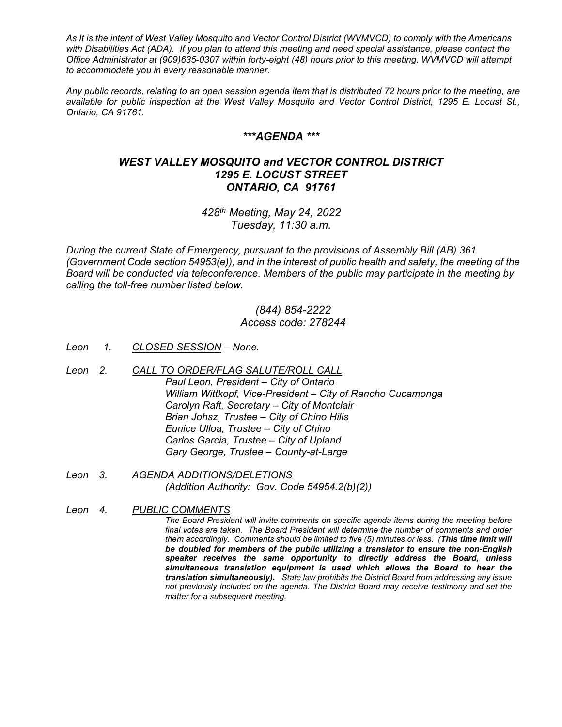*As It is the intent of West Valley Mosquito and Vector Control District (WVMVCD) to comply with the Americans with Disabilities Act (ADA). If you plan to attend this meeting and need special assistance, please contact the Office Administrator at (909)635-0307 within forty-eight (48) hours prior to this meeting. WVMVCD will attempt to accommodate you in every reasonable manner.*

*Any public records, relating to an open session agenda item that is distributed 72 hours prior to the meeting, are available for public inspection at the West Valley Mosquito and Vector Control District, 1295 E. Locust St., Ontario, CA 91761.*

### *\*\*\*AGENDA \*\*\**

# *WEST VALLEY MOSQUITO and VECTOR CONTROL DISTRICT 1295 E. LOCUST STREET ONTARIO, CA 91761*

*428th Meeting, May 24, 2022 Tuesday, 11:30 a.m.*

*During the current State of Emergency, pursuant to the provisions of Assembly Bill (AB) 361 (Government Code section 54953(e)), and in the interest of public health and safety, the meeting of the Board will be conducted via teleconference. Members of the public may participate in the meeting by calling the toll-free number listed below.* 

## *(844) 854-2222 Access code: 278244*

- *Leon 1. CLOSED SESSION – None.*
- *Leon 2. CALL TO ORDER/FLAG SALUTE/ROLL CALL Paul Leon, President – City of Ontario William Wittkopf, Vice-President – City of Rancho Cucamonga Carolyn Raft, Secretary – City of Montclair Brian Johsz, Trustee – City of Chino Hills Eunice Ulloa, Trustee – City of Chino Carlos Garcia, Trustee – City of Upland Gary George, Trustee – County-at-Large*
- *Leon 3. AGENDA ADDITIONS/DELETIONS (Addition Authority: Gov. Code 54954.2(b)(2))*
- *Leon 4. PUBLIC COMMENTS The Board President will invite comments on specific agenda items during the meeting before final votes are taken. The Board President will determine the number of comments and order them accordingly. Comments should be limited to five (5) minutes or less. (This time limit will be doubled for members of the public utilizing a translator to ensure the non-English speaker receives the same opportunity to directly address the Board, unless simultaneous translation equipment is used which allows the Board to hear the translation simultaneously). State law prohibits the District Board from addressing any issue not previously included on the agenda. The District Board may receive testimony and set the matter for a subsequent meeting.*